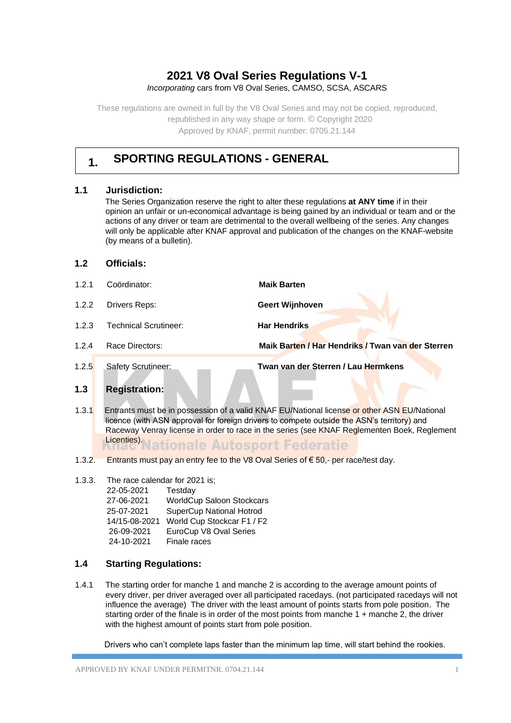# **2021 V8 Oval Series Regulations V-1**

*Incorporating* cars from V8 Oval Series, CAMSO, SCSA, ASCARS

These regulations are owned in full by the V8 Oval Series and may not be copied, reproduced, republished in any way shape or form. © Copyright 2020 Approved by KNAF, permit number: 0705.21.144

# **1. SPORTING REGULATIONS - GENERAL**

# **1.1 Jurisdiction:**

The Series Organization reserve the right to alter these regulations **at ANY time** if in their opinion an unfair or un-economical advantage is being gained by an individual or team and or the actions of any driver or team are detrimental to the overall wellbeing of the series. Any changes will only be applicable after KNAF approval and publication of the changes on the KNAF-website (by means of a bulletin).

# **1.2 Officials:**

- 1.2.1 Coördinator: **Maik Barten** 1.2.2 Drivers Reps: **Geert Wijnhoven**
- 1.2.3 Technical Scrutineer: **Har Hendriks**
- 1.2.4 Race Directors: **Maik Barten / Har Hendriks / Twan van der Sterren**
- 

1.2.5 Safety Scrutineer: **Twan van der Sterren / Lau Hermkens** 

# **1.3 Registration:**

- 1.3.1 Entrants must be in possession of a valid KNAF EU/National license or other ASN EU/National licence (with ASN approval for foreign drivers to compete outside the ASN's territory) and Raceway Venray license in order to race in the series (see KNAF Reglementen Boek, Reglement Licenties<sup>)</sup>Nationale Autosport Federatie
- 1.3.2. Entrants must pay an entry fee to the V8 Oval Series of € 50,- per race/test day.
- 1.3.3. The race calendar for 2021 is; 22-05-2021 Testday 27-06-2021 WorldCup Saloon Stockcars 25-07-2021 SuperCup National Hotrod 14/15-08-2021 World Cup Stockcar F1 / F2 26-09-2021 EuroCup V8 Oval Series 24-10-2021 Finale races

# **1.4 Starting Regulations:**

1.4.1 The starting order for manche 1 and manche 2 is according to the average amount points of every driver, per driver averaged over all participated racedays. (not participated racedays will not influence the average) The driver with the least amount of points starts from pole position. The starting order of the finale is in order of the most points from manche 1 + manche 2, the driver with the highest amount of points start from pole position.

Drivers who can't complete laps faster than the minimum lap time, will start behind the rookies.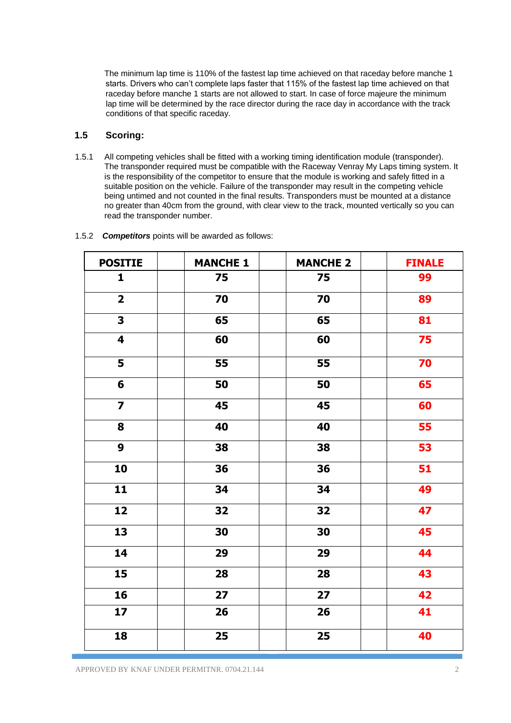The minimum lap time is 110% of the fastest lap time achieved on that raceday before manche 1 starts. Drivers who can't complete laps faster that 115% of the fastest lap time achieved on that raceday before manche 1 starts are not allowed to start. In case of force majeure the minimum lap time will be determined by the race director during the race day in accordance with the track conditions of that specific raceday.

# **1.5 Scoring:**

1.5.1 All competing vehicles shall be fitted with a working timing identification module (transponder). The transponder required must be compatible with the Raceway Venray My Laps timing system. It is the responsibility of the competitor to ensure that the module is working and safely fitted in a suitable position on the vehicle. Failure of the transponder may result in the competing vehicle being untimed and not counted in the final results. Transponders must be mounted at a distance no greater than 40cm from the ground, with clear view to the track, mounted vertically so you can read the transponder number.

| <b>POSITIE</b>          | <b>MANCHE 1</b> | <b>MANCHE 2</b> | <b>FINALE</b> |
|-------------------------|-----------------|-----------------|---------------|
| $\mathbf{1}$            | 75              | 75              | 99            |
| $\overline{2}$          | 70              | 70              | 89            |
| $\overline{\mathbf{3}}$ | 65              | 65              | 81            |
| $\overline{\mathbf{4}}$ | 60              | 60              | 75            |
| 5                       | 55              | 55              | 70            |
| $6\phantom{1}$          | 50              | 50              | 65            |
| $\overline{7}$          | 45              | 45              | 60            |
| 8                       | 40              | 40              | 55            |
| 9                       | 38              | 38              | 53            |
| 10                      | 36              | 36              | 51            |
| $\overline{11}$         | 34              | 34              | 49            |
| 12                      | 32              | 32              | 47            |
| 13                      | 30              | 30              | 45            |
| 14                      | 29              | 29              | 44            |
| 15                      | 28              | 28              | 43            |
| 16                      | 27              | 27              | 42            |
| 17                      | 26              | 26              | 41            |
| 18                      | 25              | 25              | 40            |

1.5.2 *Competitors* points will be awarded as follows: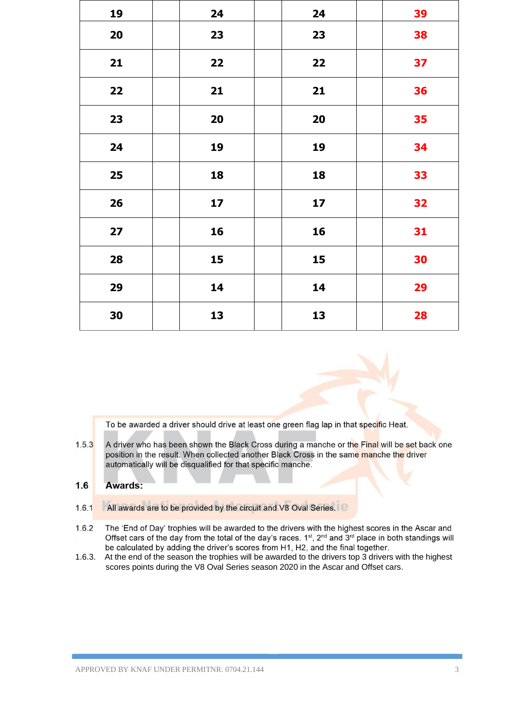| 19 | 24 | 24 | 39 |
|----|----|----|----|
| 20 | 23 | 23 | 38 |
| 21 | 22 | 22 | 37 |
| 22 | 21 | 21 | 36 |
| 23 | 20 | 20 | 35 |
| 24 | 19 | 19 | 34 |
| 25 | 18 | 18 | 33 |
| 26 | 17 | 17 | 32 |
| 27 | 16 | 16 | 31 |
| 28 | 15 | 15 | 30 |
| 29 | 14 | 14 | 29 |
| 30 | 13 | 13 | 28 |

To be awarded a driver should drive at least one green flag lap in that specific Heat.

 $1.5.3$ A driver who has been shown the Black Cross during a manche or the Final will be set back one position in the result. When collected another Black Cross in the same manche the driver automatically will be disqualified for that specific manche.

#### $1.6$ Awards:

- All awards are to be provided by the circuit and V8 Oval Series.  $1.6.1$
- $1.6.2$ The 'End of Day' trophies will be awarded to the drivers with the highest scores in the Ascar and Offset cars of the day from the total of the day's races. 1st, 2nd and 3rd place in both standings will be calculated by adding the driver's scores from H1, H2, and the final together.
- 1.6.3. At the end of the season the trophies will be awarded to the drivers top 3 drivers with the highest scores points during the V8 Oval Series season 2020 in the Ascar and Offset cars.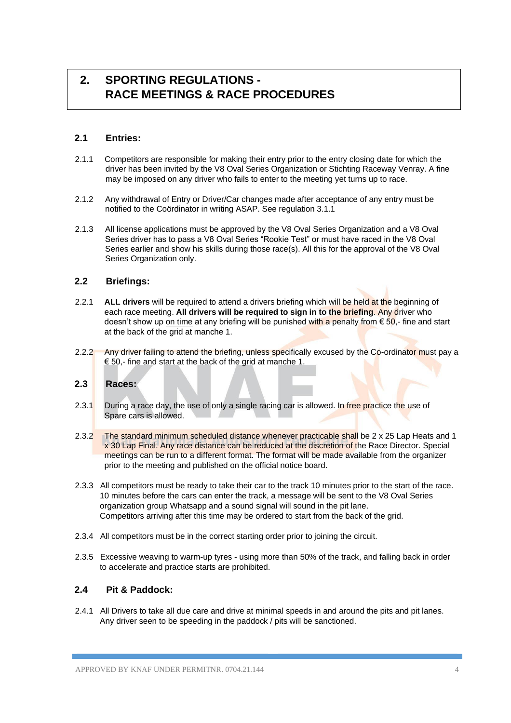# **2. SPORTING REGULATIONS - RACE MEETINGS & RACE PROCEDURES**

# **2.1 Entries:**

- 2.1.1 Competitors are responsible for making their entry prior to the entry closing date for which the driver has been invited by the V8 Oval Series Organization or Stichting Raceway Venray. A fine may be imposed on any driver who fails to enter to the meeting yet turns up to race.
- 2.1.2 Any withdrawal of Entry or Driver/Car changes made after acceptance of any entry must be notified to the Coördinator in writing ASAP. See regulation 3.1.1
- 2.1.3 All license applications must be approved by the V8 Oval Series Organization and a V8 Oval Series driver has to pass a V8 Oval Series "Rookie Test" or must have raced in the V8 Oval Series earlier and show his skills during those race(s). All this for the approval of the V8 Oval Series Organization only.

# **2.2 Briefings:**

- 2.2.1 **ALL drivers** will be required to attend a drivers briefing which will be held at the beginning of each race meeting. **All drivers will be required to sign in to the briefing**. Any driver who doesn't show up on time at any briefing will be punished with a penalty from  $\epsilon$  50,- fine and start at the back of the grid at manche 1.
- 2.2.2 Any driver failing to attend the briefing, unless specifically excused by the Co-ordinator must pay a € 50,- fine and start at the back of the grid at manche 1.

# **2.3 Races:**

- 2.3.1 During a race day, the use of only a single racing car is allowed. In free practice the use of Spare cars is allowed.
- 2.3.2 The standard minimum scheduled distance whenever practicable shall be 2 x 25 Lap Heats and 1 x 30 Lap Final. Any race distance can be reduced at the discretion of the Race Director. Special meetings can be run to a different format. The format will be made available from the organizer prior to the meeting and published on the official notice board.
- 2.3.3 All competitors must be ready to take their car to the track 10 minutes prior to the start of the race. 10 minutes before the cars can enter the track, a message will be sent to the V8 Oval Series organization group Whatsapp and a sound signal will sound in the pit lane. Competitors arriving after this time may be ordered to start from the back of the grid.
- 2.3.4 All competitors must be in the correct starting order prior to joining the circuit.
- 2.3.5 Excessive weaving to warm-up tyres using more than 50% of the track, and falling back in order to accelerate and practice starts are prohibited.

# **2.4 Pit & Paddock:**

2.4.1 All Drivers to take all due care and drive at minimal speeds in and around the pits and pit lanes. Any driver seen to be speeding in the paddock / pits will be sanctioned.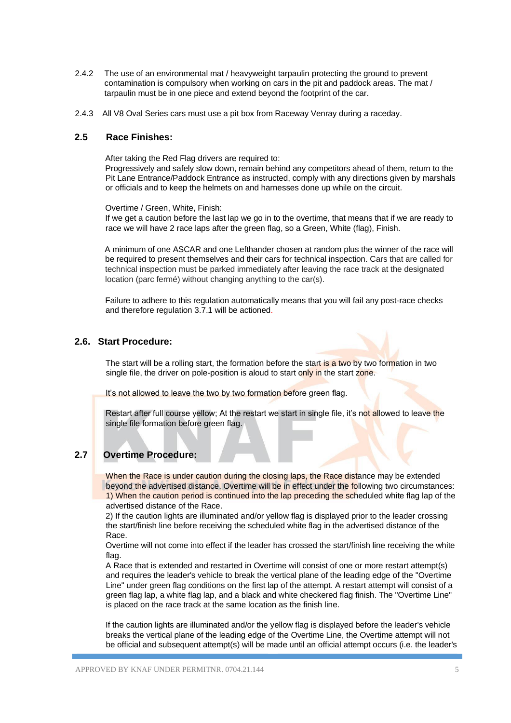- 2.4.2 The use of an environmental mat / heavyweight tarpaulin protecting the ground to prevent contamination is compulsory when working on cars in the pit and paddock areas. The mat / tarpaulin must be in one piece and extend beyond the footprint of the car.
- 2.4.3 All V8 Oval Series cars must use a pit box from Raceway Venray during a raceday.

# **2.5 Race Finishes:**

After taking the Red Flag drivers are required to:

Progressively and safely slow down, remain behind any competitors ahead of them, return to the Pit Lane Entrance/Paddock Entrance as instructed, comply with any directions given by marshals or officials and to keep the helmets on and harnesses done up while on the circuit.

Overtime / Green, White, Finish:

If we get a caution before the last lap we go in to the overtime, that means that if we are ready to race we will have 2 race laps after the green flag, so a Green, White (flag), Finish.

A minimum of one ASCAR and one Lefthander chosen at random plus the winner of the race will be required to present themselves and their cars for technical inspection. Cars that are called for technical inspection must be parked immediately after leaving the race track at the designated location (parc fermé) without changing anything to the car(s).

Failure to adhere to this regulation automatically means that you will fail any post-race checks and therefore regulation 3.7.1 will be actioned.

# **2.6. Start Procedure:**

The start will be a rolling start, the formation before the start is a two by two formation in two single file, the driver on pole-position is aloud to start only in the start zone.

It's not allowed to leave the two by two formation before green flag.

Restart after full course yellow; At the restart we start in single file, it's not allowed to leave the single file formation before green flag.

# **2.7 Overtime Procedure:**

When the Race is under caution during the closing laps, the Race distance may be extended beyond the advertised distance. Overtime will be in effect under the following two circumstances: 1) When the caution period is continued into the lap preceding the scheduled white flag lap of the advertised distance of the Race.

2) If the caution lights are illuminated and/or yellow flag is displayed prior to the leader crossing the start/finish line before receiving the scheduled white flag in the advertised distance of the Race.

Overtime will not come into effect if the leader has crossed the start/finish line receiving the white flag.

A Race that is extended and restarted in Overtime will consist of one or more restart attempt(s) and requires the leader's vehicle to break the vertical plane of the leading edge of the "Overtime Line" under green flag conditions on the first lap of the attempt. A restart attempt will consist of a green flag lap, a white flag lap, and a black and white checkered flag finish. The "Overtime Line" is placed on the race track at the same location as the finish line.

If the caution lights are illuminated and/or the yellow flag is displayed before the leader's vehicle breaks the vertical plane of the leading edge of the Overtime Line, the Overtime attempt will not be official and subsequent attempt(s) will be made until an official attempt occurs (i.e. the leader's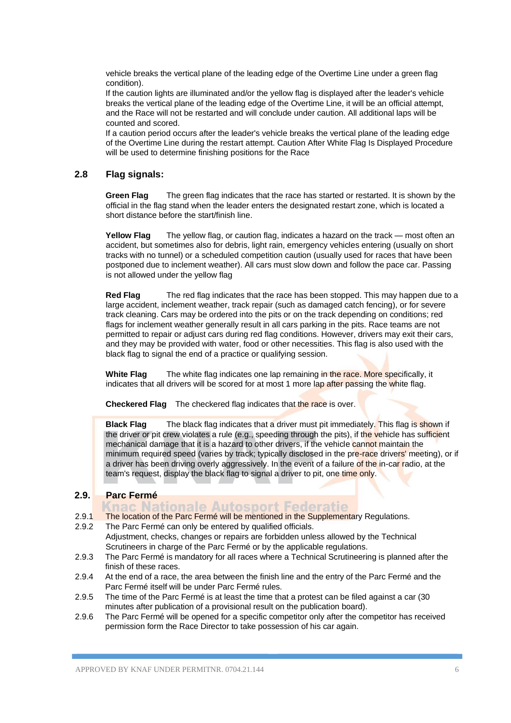vehicle breaks the vertical plane of the leading edge of the Overtime Line under a green flag condition).

If the caution lights are illuminated and/or the yellow flag is displayed after the leader's vehicle breaks the vertical plane of the leading edge of the Overtime Line, it will be an official attempt, and the Race will not be restarted and will conclude under caution. All additional laps will be counted and scored.

If a caution period occurs after the leader's vehicle breaks the vertical plane of the leading edge of the Overtime Line during the restart attempt. Caution After White Flag Is Displayed Procedure will be used to determine finishing positions for the Race

# **2.8 Flag signals:**

**Green Flag** The green flag indicates that the race has started or restarted. It is shown by the official in the flag stand when the leader enters the designated restart zone, which is located a short distance before the start/finish line.

**Yellow Flag** The yellow flag, or caution flag, indicates a hazard on the track — most often an accident, but sometimes also for debris, light rain, emergency vehicles entering (usually on short tracks with no tunnel) or a scheduled competition caution (usually used for races that have been postponed due to inclement weather). All cars must slow down and follow the pace car. Passing is not allowed under the yellow flag

**Red Flag** The red flag indicates that the race has been stopped. This may happen due to a large accident, inclement weather, track repair (such as damaged catch fencing), or for severe track cleaning. Cars may be ordered into the pits or on the track depending on conditions; red flags for inclement weather generally result in all cars parking in the pits. Race teams are not permitted to repair or adjust cars during red flag conditions. However, drivers may exit their cars, and they may be provided with water, food or other necessities. This flag is also used with the black flag to signal the end of a practice or qualifying session.

**White Flag** The white flag indicates one lap remaining in the race. More specifically, it indicates that all drivers will be scored for at most 1 more lap after passing the white flag.

**Checkered Flag** The checkered flag indicates that the race is over.

**Black Flag** The black flag indicates that a driver must pit immediately. This flag is shown if the driver or pit crew violates a rule (e.g., speeding through the pits), if the vehicle has sufficient mechanical damage that it is a hazard to other drivers, if the vehicle cannot maintain the minimum required speed (varies by track; typically disclosed in the pre-race drivers' meeting), or if a driver has been driving overly aggressively. In the event of a failure of the in-car radio, at the team's request, display the black flag to signal a driver to pit, one time only.

# **2.9. Parc Fermé**

- Knac Nationale Autosport Federatie 2.9.1 The location of the Parc Fermé will be mentioned in the Supplementary Regulations.
- 2.9.2 The Parc Fermé can only be entered by qualified officials. Adjustment, checks, changes or repairs are forbidden unless allowed by the Technical Scrutineers in charge of the Parc Fermé or by the applicable regulations.
- 2.9.3 The Parc Fermé is mandatory for all races where a Technical Scrutineering is planned after the finish of these races.
- 2.9.4 At the end of a race, the area between the finish line and the entry of the Parc Fermé and the Parc Fermé itself will be under Parc Fermé rules.
- 2.9.5 The time of the Parc Fermé is at least the time that a protest can be filed against a car (30 minutes after publication of a provisional result on the publication board).
- 2.9.6 The Parc Fermé will be opened for a specific competitor only after the competitor has received permission form the Race Director to take possession of his car again.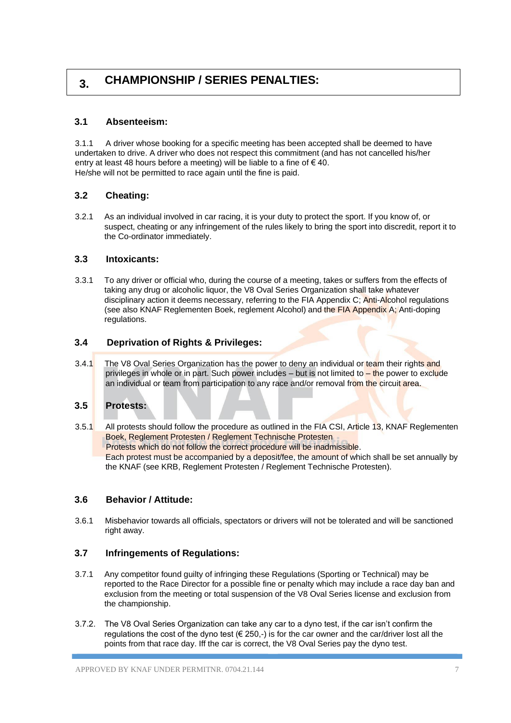# **3. CHAMPIONSHIP / SERIES PENALTIES:**

# **3.1 Absenteeism:**

3.1.1 A driver whose booking for a specific meeting has been accepted shall be deemed to have undertaken to drive. A driver who does not respect this commitment (and has not cancelled his/her entry at least 48 hours before a meeting) will be liable to a fine of  $\epsilon$  40. He/she will not be permitted to race again until the fine is paid.

# **3.2 Cheating:**

3.2.1 As an individual involved in car racing, it is your duty to protect the sport. If you know of, or suspect, cheating or any infringement of the rules likely to bring the sport into discredit, report it to the Co-ordinator immediately.

# **3.3 Intoxicants:**

3.3.1 To any driver or official who, during the course of a meeting, takes or suffers from the effects of taking any drug or alcoholic liquor, the V8 Oval Series Organization shall take whatever disciplinary action it deems necessary, referring to the FIA Appendix C; Anti-Alcohol regulations (see also KNAF Reglementen Boek, reglement Alcohol) and the FIA Appendix A; Anti-doping regulations.

# **3.4 Deprivation of Rights & Privileges:**

3.4.1 The V8 Oval Series Organization has the power to deny an individual or team their rights and privileges in whole or in part. Such power includes – but is not limited to – the power to exclude an individual or team from participation to any race and/or removal from the circuit area.

# **3.5 Protests:**

3.5.1 All protests should follow the procedure as outlined in the FIA CSI, Article 13, KNAF Reglementen Boek, Reglement Protesten / Reglement Technische Protesten Protests which do not follow the correct procedure will be inadmissible. Each protest must be accompanied by a deposit/fee, the amount of which shall be set annually by the KNAF (see KRB, Reglement Protesten / Reglement Technische Protesten).

# **3.6 Behavior / Attitude:**

3.6.1 Misbehavior towards all officials, spectators or drivers will not be tolerated and will be sanctioned right away.

# **3.7 Infringements of Regulations:**

- 3.7.1 Any competitor found guilty of infringing these Regulations (Sporting or Technical) may be reported to the Race Director for a possible fine or penalty which may include a race day ban and exclusion from the meeting or total suspension of the V8 Oval Series license and exclusion from the championship.
- 3.7.2. The V8 Oval Series Organization can take any car to a dyno test, if the car isn't confirm the regulations the cost of the dyno test ( $\in$  250,-) is for the car owner and the car/driver lost all the points from that race day. Iff the car is correct, the V8 Oval Series pay the dyno test.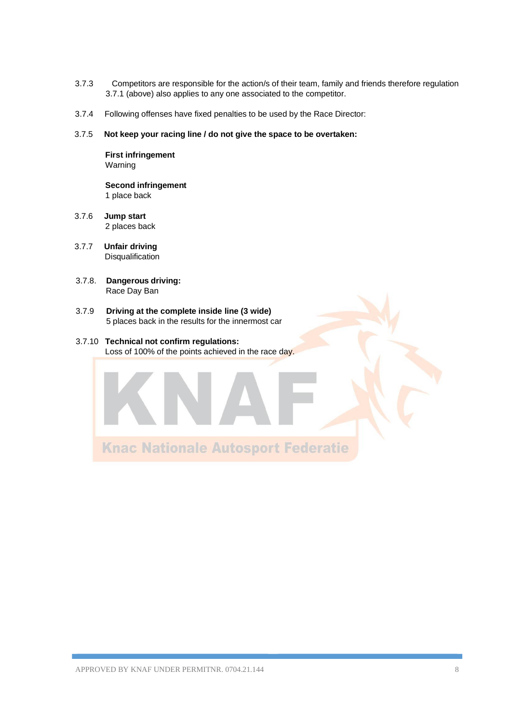- 3.7.3 Competitors are responsible for the action/s of their team, family and friends therefore regulation 3.7.1 (above) also applies to any one associated to the competitor.
- 3.7.4 Following offenses have fixed penalties to be used by the Race Director:
- 3.7.5 **Not keep your racing line / do not give the space to be overtaken:**

**First infringement**  Warning

**Second infringement** 1 place back

- 3.7.6 **Jump start**  2 places back
- 3.7.7 **Unfair driving**  Disqualification
- 3.7.8. **Dangerous driving:** Race Day Ban
- 3.7.9 **Driving at the complete inside line (3 wide)** 5 places back in the results for the innermost car

#### 3.7.10 **Technical not confirm regulations:** Loss of 100% of the points achieved in the race day.

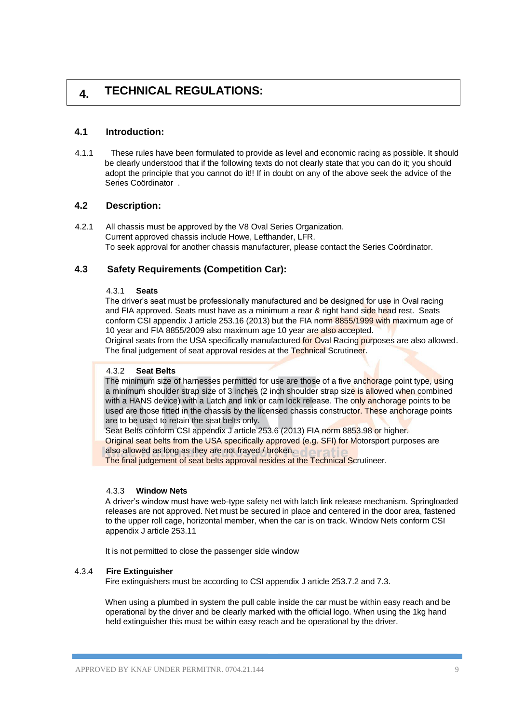# **4. TECHNICAL REGULATIONS:**

# **4.1 Introduction:**

4.1.1 These rules have been formulated to provide as level and economic racing as possible. It should be clearly understood that if the following texts do not clearly state that you can do it; you should adopt the principle that you cannot do it!! If in doubt on any of the above seek the advice of the Series Coördinator .

# **4.2 Description:**

4.2.1 All chassis must be approved by the V8 Oval Series Organization. Current approved chassis include Howe, Lefthander, LFR. To seek approval for another chassis manufacturer, please contact the Series Coördinator.

# **4.3 Safety Requirements (Competition Car):**

#### 4.3.1 **Seats**

The driver's seat must be professionally manufactured and be designed for use in Oval racing and FIA approved. Seats must have as a minimum a rear & right hand side head rest. Seats conform CSI appendix J article 253.16 (2013) but the FIA norm 8855/1999 with maximum age of 10 year and FIA 8855/2009 also maximum age 10 year are also accepted.

Original seats from the USA specifically manufactured for Oval Racing purposes are also allowed. The final judgement of seat approval resides at the Technical Scrutineer.

#### 4.3.2 **Seat Belts**

The minimum size of harnesses permitted for use are those of a five anchorage point type, using a minimum shoulder strap size of 3 inches (2 inch shoulder strap size is allowed when combined with a HANS device) with a Latch and link or cam lock release. The only anchorage points to be used are those fitted in the chassis by the licensed chassis constructor. These anchorage points are to be used to retain the seat belts only.

Seat Belts conform CSI appendix J article 253.6 (2013) FIA norm 8853.98 or higher. Original seat belts from the USA specifically approved (e.g. SFI) for Motorsport purposes are also allowed as long as they are not frayed / broken.

The final judgement of seat belts approval resides at the Technical Scrutineer.

#### 4.3.3 **Window Nets**

A driver's window must have web-type safety net with latch link release mechanism. Springloaded releases are not approved. Net must be secured in place and centered in the door area, fastened to the upper roll cage, horizontal member, when the car is on track. Window Nets conform CSI appendix J article 253.11

It is not permitted to close the passenger side window

### 4.3.4 **Fire Extinguisher**

Fire extinguishers must be according to CSI appendix J article 253.7.2 and 7.3.

When using a plumbed in system the pull cable inside the car must be within easy reach and be operational by the driver and be clearly marked with the official logo. When using the 1kg hand held extinguisher this must be within easy reach and be operational by the driver.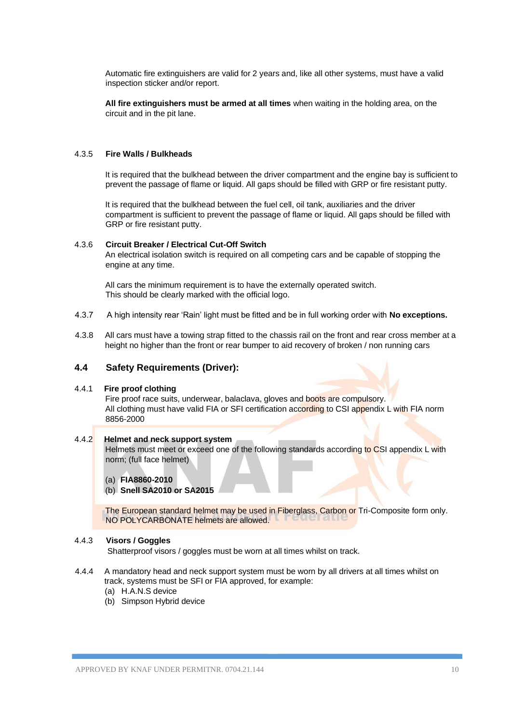Automatic fire extinguishers are valid for 2 years and, like all other systems, must have a valid inspection sticker and/or report.

**All fire extinguishers must be armed at all times** when waiting in the holding area, on the circuit and in the pit lane.

#### 4.3.5 **Fire Walls / Bulkheads**

It is required that the bulkhead between the driver compartment and the engine bay is sufficient to prevent the passage of flame or liquid. All gaps should be filled with GRP or fire resistant putty.

It is required that the bulkhead between the fuel cell, oil tank, auxiliaries and the driver compartment is sufficient to prevent the passage of flame or liquid. All gaps should be filled with GRP or fire resistant putty.

#### 4.3.6 **Circuit Breaker / Electrical Cut-Off Switch**

An electrical isolation switch is required on all competing cars and be capable of stopping the engine at any time.

All cars the minimum requirement is to have the externally operated switch. This should be clearly marked with the official logo.

- 4.3.7 A high intensity rear 'Rain' light must be fitted and be in full working order with **No exceptions.**
- 4.3.8All cars must have a towing strap fitted to the chassis rail on the front and rear cross member at a height no higher than the front or rear bumper to aid recovery of broken / non running cars

#### **4.4 Safety Requirements (Driver):**

#### 4.4.1 **Fire proof clothing**

Fire proof race suits, underwear, balaclava, gloves and boots are compulsory. All clothing must have valid FIA or SFI certification according to CSI appendix L with FIA norm 8856-2000

# 4.4.2 **Helmet and neck support system**

Helmets must meet or exceed one of the following standards according to CSI appendix L with norm; (full face helmet)

(a) **FIA8860-2010** 

#### (b) **Snell SA2010 or SA2015**

The European standard helmet may be used in Fiberglass, Carbon or Tri-Composite form only. NO POLYCARBONATE helmets are allowed.

#### 4.4.3 **Visors / Goggles**

Shatterproof visors / goggles must be worn at all times whilst on track.

- 4.4.4 A mandatory head and neck support system must be worn by all drivers at all times whilst on track, systems must be SFI or FIA approved, for example:
	- (a) H.A.N.S device
	- (b) Simpson Hybrid device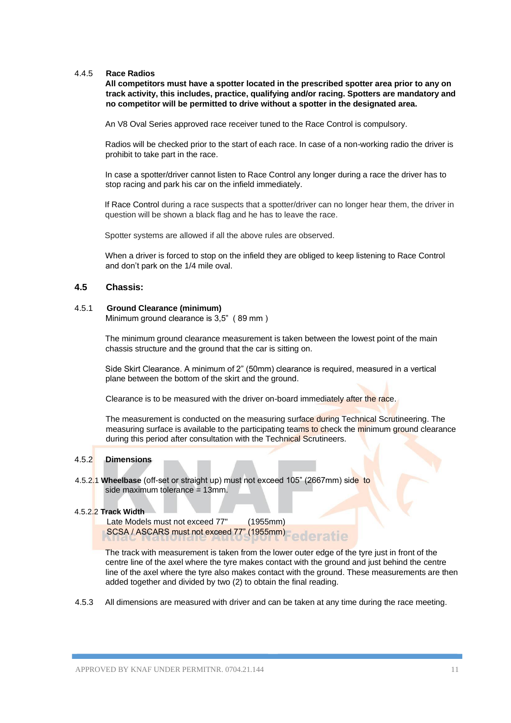#### 4.4.5 **Race Radios**

**All competitors must have a spotter located in the prescribed spotter area prior to any on track activity, this includes, practice, qualifying and/or racing. Spotters are mandatory and no competitor will be permitted to drive without a spotter in the designated area.** 

An V8 Oval Series approved race receiver tuned to the Race Control is compulsory.

Radios will be checked prior to the start of each race. In case of a non-working radio the driver is prohibit to take part in the race.

In case a spotter/driver cannot listen to Race Control any longer during a race the driver has to stop racing and park his car on the infield immediately.

If Race Control during a race suspects that a spotter/driver can no longer hear them, the driver in question will be shown a black flag and he has to leave the race.

Spotter systems are allowed if all the above rules are observed.

When a driver is forced to stop on the infield they are obliged to keep listening to Race Control and don't park on the 1/4 mile oval.

#### **4.5 Chassis:**

#### 4.5.1 **Ground Clearance (minimum)**

Minimum ground clearance is 3,5" ( 89 mm )

The minimum ground clearance measurement is taken between the lowest point of the main chassis structure and the ground that the car is sitting on.

Side Skirt Clearance. A minimum of 2" (50mm) clearance is required, measured in a vertical plane between the bottom of the skirt and the ground.

Clearance is to be measured with the driver on-board immediately after the race.

The measurement is conducted on the measuring surface during Technical Scrutineering. The measuring surface is available to the participating teams to check the minimum ground clearance during this period after consultation with the Technical Scrutineers.

### 4.5.2 **Dimensions**

4.5.2.1 **Wheelbase** (off-set or straight up) must not exceed 105" (2667mm) side to side maximum tolerance = 13mm.

#### 4.5.2.2 **Track Width**

 Late Models must not exceed 77" (1955mm) SCSA / ASCARS must not exceed 77" (1955mm)

The track with measurement is taken from the lower outer edge of the tyre just in front of the centre line of the axel where the tyre makes contact with the ground and just behind the centre line of the axel where the tyre also makes contact with the ground. These measurements are then added together and divided by two (2) to obtain the final reading.

4.5.3 All dimensions are measured with driver and can be taken at any time during the race meeting.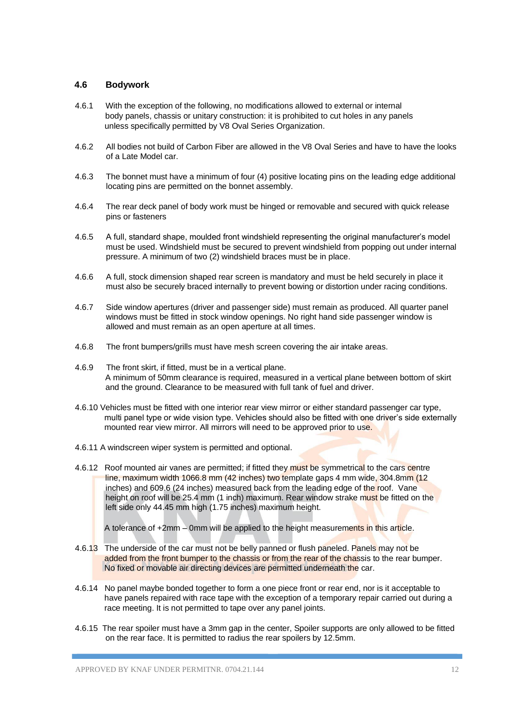### **4.6 Bodywork**

- 4.6.1 With the exception of the following, no modifications allowed to external or internal body panels, chassis or unitary construction: it is prohibited to cut holes in any panels unless specifically permitted by V8 Oval Series Organization.
- 4.6.2 All bodies not build of Carbon Fiber are allowed in the V8 Oval Series and have to have the looks of a Late Model car.
- 4.6.3 The bonnet must have a minimum of four (4) positive locating pins on the leading edge additional locating pins are permitted on the bonnet assembly.
- 4.6.4 The rear deck panel of body work must be hinged or removable and secured with quick release pins or fasteners
- 4.6.5 A full, standard shape, moulded front windshield representing the original manufacturer's model must be used. Windshield must be secured to prevent windshield from popping out under internal pressure. A minimum of two (2) windshield braces must be in place.
- 4.6.6 A full, stock dimension shaped rear screen is mandatory and must be held securely in place it must also be securely braced internally to prevent bowing or distortion under racing conditions.
- 4.6.7 Side window apertures (driver and passenger side) must remain as produced. All quarter panel windows must be fitted in stock window openings. No right hand side passenger window is allowed and must remain as an open aperture at all times.
- 4.6.8 The front bumpers/grills must have mesh screen covering the air intake areas.
- 4.6.9 The front skirt, if fitted, must be in a vertical plane. A minimum of 50mm clearance is required, measured in a vertical plane between bottom of skirt and the ground. Clearance to be measured with full tank of fuel and driver.
- 4.6.10 Vehicles must be fitted with one interior rear view mirror or either standard passenger car type, multi panel type or wide vision type. Vehicles should also be fitted with one driver's side externally mounted rear view mirror. All mirrors will need to be approved prior to use.
- 4.6.11 A windscreen wiper system is permitted and optional.
- 4.6.12Roof mounted air vanes are permitted; if fitted they must be symmetrical to the cars centre line, maximum width 1066.8 mm (42 inches) two template gaps 4 mm wide, 304.8mm (12 inches) and 609.6 (24 inches) measured back from the leading edge of the roof. Vane height on roof will be 25.4 mm (1 inch) maximum. Rear window strake must be fitted on the left side only 44.45 mm high (1.75 inches) maximum height.

A tolerance of +2mm – 0mm will be applied to the height measurements in this article.

- 4.6.13The underside of the car must not be belly panned or flush paneled. Panels may not be added from the front bumper to the chassis or from the rear of the chassis to the rear bumper. No fixed or movable air directing devices are permitted underneath the car.
- 4.6.14 No panel maybe bonded together to form a one piece front or rear end, nor is it acceptable to have panels repaired with race tape with the exception of a temporary repair carried out during a race meeting. It is not permitted to tape over any panel joints.
- 4.6.15 The rear spoiler must have a 3mm gap in the center, Spoiler supports are only allowed to be fitted on the rear face. It is permitted to radius the rear spoilers by 12.5mm.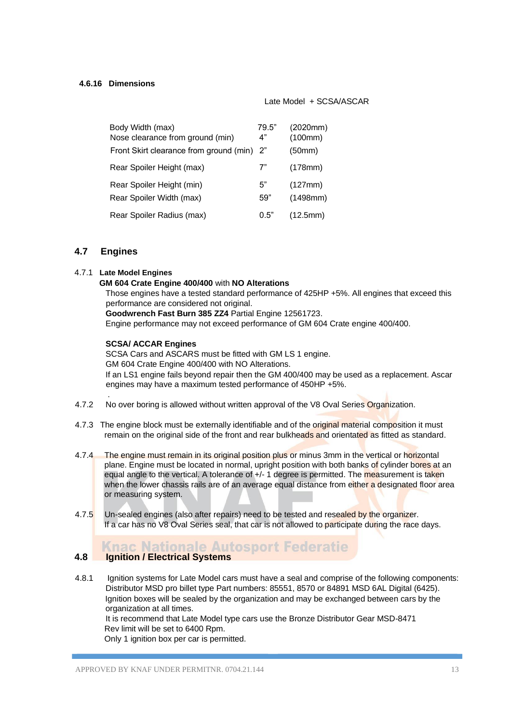#### **4.6.16 Dimensions**

#### Late Model + SCSA/ASCAR

| Body Width (max)<br>Nose clearance from ground (min)  | 79.5"<br>4" | (2020mm)<br>(100mm) |
|-------------------------------------------------------|-------------|---------------------|
| Front Skirt clearance from ground (min) 2"            |             | (50mm)              |
| Rear Spoiler Height (max)                             | 7"          | (178mm)             |
| Rear Spoiler Height (min)<br>Rear Spoiler Width (max) | 5"<br>59"   | (127mm)<br>(1498mm) |
| Rear Spoiler Radius (max)                             | 0.5"        | (12.5mm)            |

# **4.7 Engines**

.

#### 4.7.1 **Late Model Engines**

# **GM 604 Crate Engine 400/400** with **NO Alterations**

Those engines have a tested standard performance of 425HP +5%. All engines that exceed this performance are considered not original.

**Goodwrench Fast Burn 385 ZZ4** Partial Engine 12561723.

Engine performance may not exceed performance of GM 604 Crate engine 400/400.

#### **SCSA/ ACCAR Engines**

SCSA Cars and ASCARS must be fitted with GM LS 1 engine. GM 604 Crate Engine 400/400 with NO Alterations. If an LS1 engine fails beyond repair then the GM 400/400 may be used as a replacement. Ascar engines may have a maximum tested performance of 450HP +5%.

- 4.7.2 No over boring is allowed without written approval of the V8 Oval Series Organization.
- 4.7.3The engine block must be externally identifiable and of the original material composition it must remain on the original side of the front and rear bulkheads and orientated as fitted as standard.
- 4.7.4The engine must remain in its original position plus or minus 3mm in the vertical or horizontal plane. Engine must be located in normal, upright position with both banks of cylinder bores at an equal angle to the vertical. A tolerance of  $+/-1$  degree is permitted. The measurement is taken when the lower chassis rails are of an average equal distance from either a designated floor area or measuring system.
- 4.7.5Un-sealed engines (also after repairs) need to be tested and resealed by the organizer. If a car has no V8 Oval Series seal, that car is not allowed to participate during the race days.

### **Knac Nationale Autosport Federatie 4.8 Ignition / Electrical Systems**

4.8.1 Ignition systems for Late Model cars must have a seal and comprise of the following components: Distributor MSD pro billet type Part numbers: 85551, 8570 or 84891 MSD 6AL Digital (6425). Ignition boxes will be sealed by the organization and may be exchanged between cars by the organization at all times.

 It is recommend that Late Model type cars use the Bronze Distributor Gear MSD-8471 Rev limit will be set to 6400 Rpm.

Only 1 ignition box per car is permitted.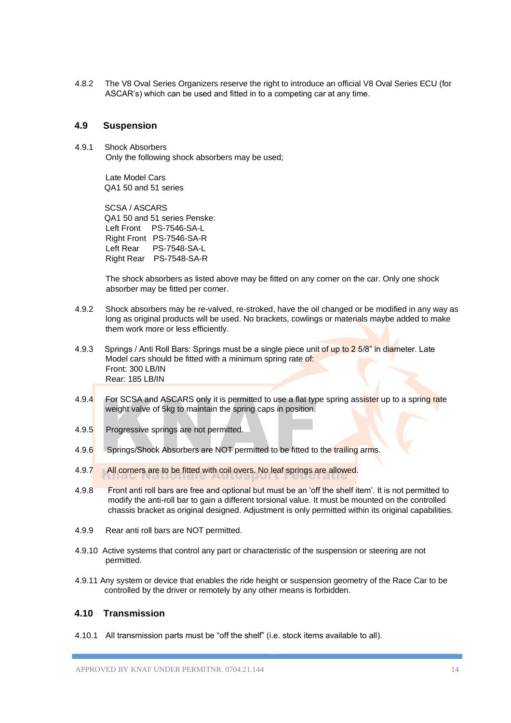4.8.2 The V8 Oval Series Organizers reserve the right to introduce an official V8 Oval Series ECU (for ASCAR's) which can be used and fitted in to a competing car at any time.

### **4.9 Suspension**

4.9.1 Shock Absorbers Only the following shock absorbers may be used;

> Late Model Cars QA1 50 and 51 series

SCSA / ASCARS QA1 50 and 51 series Penske: Left Front PS-7546-SA-L Right Front PS-7546-SA-R Left Rear PS-7548-SA-L Right Rear PS-7548-SA-R

The shock absorbers as listed above may be fitted on any corner on the car. Only one shock absorber may be fitted per corner.

- 4.9.2 Shock absorbers may be re-valved, re-stroked, have the oil changed or be modified in any way as long as original products will be used. No brackets, cowlings or materials maybe added to make them work more or less efficiently.
- 4.9.3 Springs / Anti Roll Bars: Springs must be a single piece unit of up to 2 5/8" in diameter. Late Model cars should be fitted with a minimum spring rate of: Front: 300 LB/IN Rear: 185 LB/IN
- 4.9.4 For SCSA and ASCARS only it is permitted to use a flat type spring assister up to a spring rate weight valve of 5kg to maintain the spring caps in position.
- 4.9.5 Progressive springs are not permitted.
- 4.9.6 Springs/Shock Absorbers are NOT permitted to be fitted to the trailing arms.
- 4.9.7 All corners are to be fitted with coil overs. No leaf springs are allowed.
- 4.9.8 Front anti roll bars are free and optional but must be an 'off the shelf item'. It is not permitted to modify the anti-roll bar to gain a different torsional value. It must be mounted on the controlled chassis bracket as original designed. Adjustment is only permitted within its original capabilities.
- 4.9.9 Rear anti roll bars are NOT permitted.
- 4.9.10 Active systems that control any part or characteristic of the suspension or steering are not permitted.
- 4.9.11 Any system or device that enables the ride height or suspension geometry of the Race Car to be controlled by the driver or remotely by any other means is forbidden.

# **4.10 Transmission**

4.10.1All transmission parts must be "off the shelf" (i.e. stock items available to all).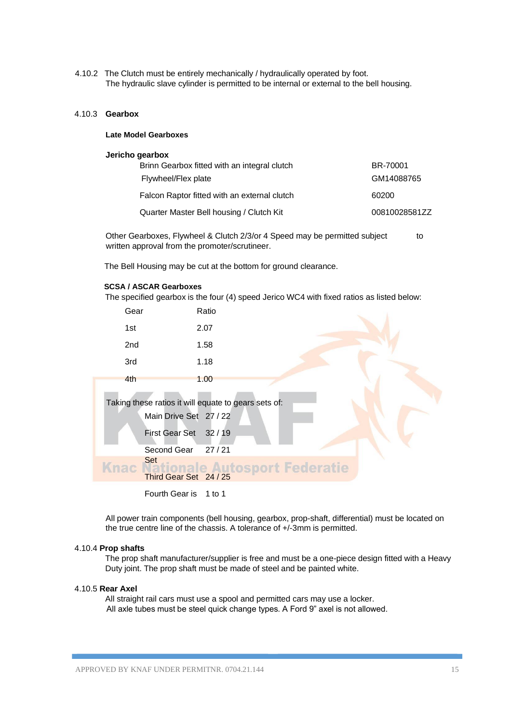4.10.2The Clutch must be entirely mechanically / hydraulically operated by foot. The hydraulic slave cylinder is permitted to be internal or external to the bell housing.

#### 4.10.3 **Gearbox**

#### **Late Model Gearboxes**

#### **Jericho gearbox**

| Brinn Gearbox fitted with an integral clutch | BR-70001      |
|----------------------------------------------|---------------|
| Flywheel/Flex plate                          | GM14088765    |
| Falcon Raptor fitted with an external clutch | 60200         |
| Quarter Master Bell housing / Clutch Kit     | 00810028581ZZ |

Other Gearboxes, Flywheel & Clutch 2/3/or 4 Speed may be permitted subject to written approval from the promoter/scrutineer.

The Bell Housing may be cut at the bottom for ground clearance.

#### **SCSA / ASCAR Gearboxes**

The specified gearbox is the four (4) speed Jerico WC4 with fixed ratios as listed below: Gear Ratio 1st 2.07 2nd 1.58 3rd 1.18 4th 1.00 Taking these ratios it will equate to gears sets of: Main Drive Set 27 / 22 First Gear Set 32 / 19 Second Gear 27 / 21 Set **Third Gear Set 24/25**<br>Third Gear Set 24/25 Knac Fourth Gear is 1 to 1

All power train components (bell housing, gearbox, prop-shaft, differential) must be located on the true centre line of the chassis. A tolerance of +/-3mm is permitted.

### 4.10.4 **Prop shafts**

The prop shaft manufacturer/supplier is free and must be a one-piece design fitted with a Heavy Duty joint. The prop shaft must be made of steel and be painted white.

#### 4.10.5 **Rear Axel**

All straight rail cars must use a spool and permitted cars may use a locker. All axle tubes must be steel quick change types. A Ford 9" axel is not allowed.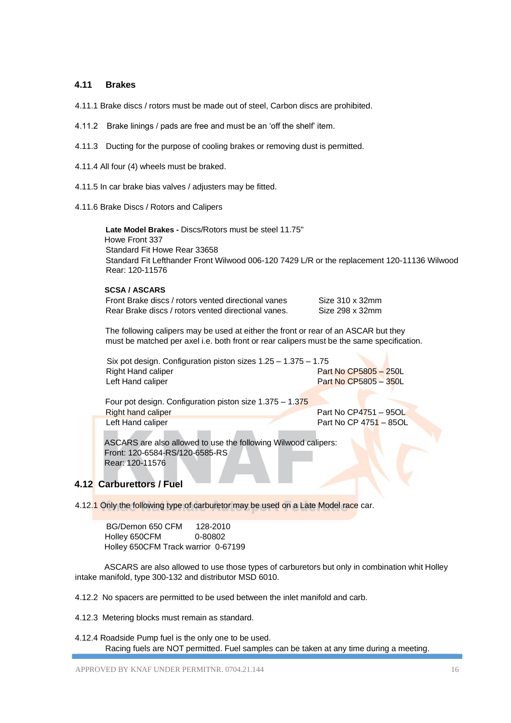### **4.11 Brakes**

- 4.11.1 Brake discs / rotors must be made out of steel, Carbon discs are prohibited.
- 4.11.2 Brake linings / pads are free and must be an 'off the shelf' item.
- 4.11.3 Ducting for the purpose of cooling brakes or removing dust is permitted.
- 4.11.4 All four (4) wheels must be braked.
- 4.11.5 In car brake bias valves / adjusters may be fitted.
- 4.11.6 Brake Discs / Rotors and Calipers

 **Late Model Brakes -** Discs/Rotors must be steel 11.75" Howe Front 337 Standard Fit Howe Rear 33658 Standard Fit Lefthander Front Wilwood 006-120 7429 L/R or the replacement 120-11136 Wilwood Rear: 120-11576

#### **SCSA / ASCARS**

| Front Brake discs / rotors vented directional vanes | Size 310 x 32mm |
|-----------------------------------------------------|-----------------|
| Rear Brake discs / rotors vented directional vanes. | Size 298 x 32mm |

The following calipers may be used at either the front or rear of an ASCAR but they must be matched per axel i.e. both front or rear calipers must be the same specification.

| Six pot design. Configuration piston sizes $1.25 - 1.375 - 1.75$ |                       |
|------------------------------------------------------------------|-----------------------|
| Right Hand caliper                                               | Part No CP5805 - 250L |
| Left Hand caliper                                                | Part No CP5805 - 350L |

| Four pot design. Configuration piston size $1.375 - 1.375$ |                        |
|------------------------------------------------------------|------------------------|
| Right hand caliper                                         | Part No CP4751 - 95OL  |
| Left Hand caliper                                          | Part No CP 4751 - 85OL |

 Front: 120-6584-RS/120-6585-RS Rear: 120-11576

# **4.12 Carburettors / Fuel**

4.12.1 Only the following type of carburetor may be used on a Late Model race car.

BG/Demon 650 CFM 128-2010 Holley 650CFM 0-80802 Holley 650CFM Track warrior 0-67199

 ASCARS are also allowed to use those types of carburetors but only in combination whit Holley intake manifold, type 300-132 and distributor MSD 6010.

4.12.2 No spacers are permitted to be used between the inlet manifold and carb.

4.12.3 Metering blocks must remain as standard.

4.12.4 Roadside Pump fuel is the only one to be used. Racing fuels are NOT permitted. Fuel samples can be taken at any time during a meeting.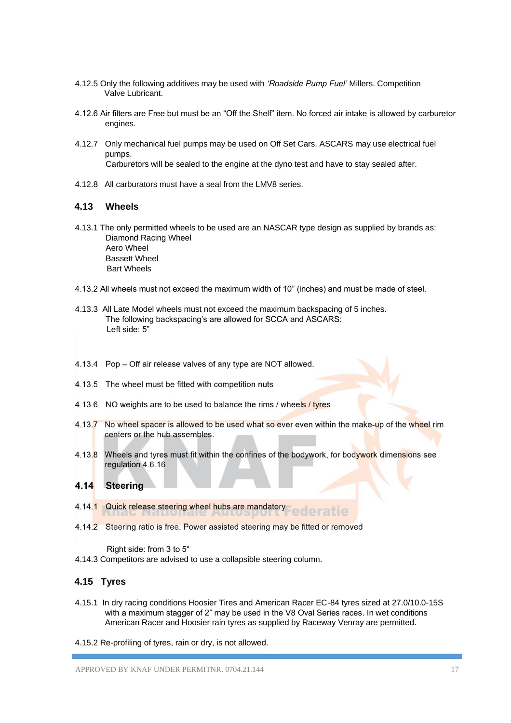- 4.12.5 Only the following additives may be used with *'Roadside Pump Fuel'* Millers. Competition Valve Lubricant.
- 4.12.6 Air filters are Free but must be an "Off the Shelf" item. No forced air intake is allowed by carburetor engines.
- 4.12.7 Only mechanical fuel pumps may be used on Off Set Cars. ASCARS may use electrical fuel pumps. Carburetors will be sealed to the engine at the dyno test and have to stay sealed after.
- 4.12.8 All carburators must have a seal from the LMV8 series.

### **4.13 Wheels**

- 4.13.1 The only permitted wheels to be used are an NASCAR type design as supplied by brands as: Diamond Racing Wheel Aero Wheel Bassett Wheel Bart Wheels
- 4.13.2 All wheels must not exceed the maximum width of 10" (inches) and must be made of steel.
- 4.13.3 All Late Model wheels must not exceed the maximum backspacing of 5 inches. The following backspacing's are allowed for SCCA and ASCARS: Left side: 5"
- 4.13.4 Pop Off air release valves of any type are NOT allowed.
- 4.13.5 The wheel must be fitted with competition nuts
- 4.13.6 NO weights are to be used to balance the rims / wheels / tyres
- 4.13.7 No wheel spacer is allowed to be used what so ever even within the make-up of the wheel rim centers or the hub assembles.
- 4.13.8 Wheels and tyres must fit within the confines of the bodywork, for bodywork dimensions see regulation 4.6.16

#### 4.14 Steering

- 4.14.1 Quick release steering wheel hubs are mandatory ederatie
- 4.14.2 Steering ratio is free. Power assisted steering may be fitted or removed

Right side: from 3 to 5"

4.14.3 Competitors are advised to use a collapsible steering column.

# **4.15 Tyres**

- 4.15.1 In dry racing conditions Hoosier Tires and American Racer EC-84 tyres sized at 27.0/10.0-15S with a maximum stagger of 2" may be used in the V8 Oval Series races. In wet conditions American Racer and Hoosier rain tyres as supplied by Raceway Venray are permitted.
- 4.15.2 Re-profiling of tyres, rain or dry, is not allowed.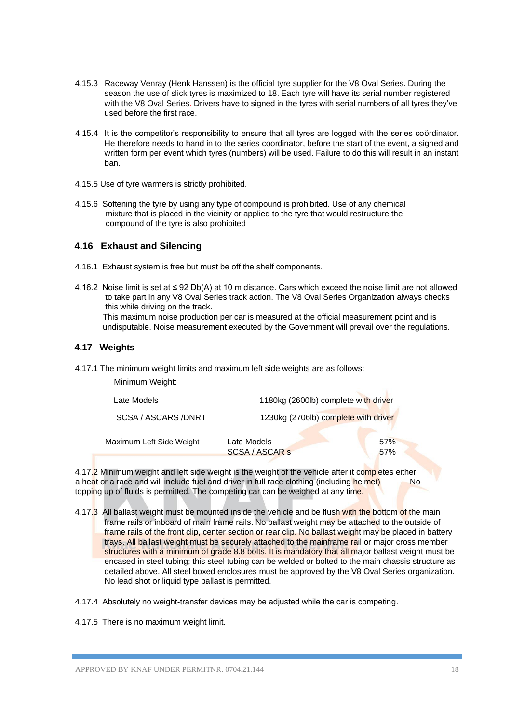- 4.15.3 Raceway Venray (Henk Hanssen) is the official tyre supplier for the V8 Oval Series. During the season the use of slick tyres is maximized to 18. Each tyre will have its serial number registered with the V8 Oval Series. Drivers have to signed in the tyres with serial numbers of all tyres they've used before the first race.
- 4.15.4 It is the competitor's responsibility to ensure that all tyres are logged with the series coördinator. He therefore needs to hand in to the series coordinator, before the start of the event, a signed and written form per event which tyres (numbers) will be used. Failure to do this will result in an instant ban.
- 4.15.5 Use of tyre warmers is strictly prohibited.
- 4.15.6 Softening the tyre by using any type of compound is prohibited. Use of any chemical mixture that is placed in the vicinity or applied to the tyre that would restructure the compound of the tyre is also prohibited

# **4.16 Exhaust and Silencing**

- 4.16.1 Exhaust system is free but must be off the shelf components.
- 4.16.2 Noise limit is set at ≤ 92 Db(A) at 10 m distance. Cars which exceed the noise limit are not allowed to take part in any V8 Oval Series track action. The V8 Oval Series Organization always checks this while driving on the track. This maximum noise production per car is measured at the official measurement point and is undisputable. Noise measurement executed by the Government will prevail over the regulations.

### **4.17 Weights**

4.17.1 The minimum weight limits and maximum left side weights are as follows:

Minimum Weight:

| Late Models              | 1180kg (2600lb) complete with driver |            |
|--------------------------|--------------------------------------|------------|
| SCSA / ASCARS / DNRT     | 1230kg (2706lb) complete with driver |            |
| Maximum Left Side Weight | Late Models<br>SCSA / ASCAR s        | 57%<br>57% |

4.17.2 Minimum weight and left side weight is the weight of the vehicle after it completes either a heat or a race and will include fuel and driver in full race clothing (including helmet) No topping up of fluids is permitted. The competing car can be weighed at any time.

- 4.17.3 All ballast weight must be mounted inside the vehicle and be flush with the bottom of the main frame rails or inboard of main frame rails. No ballast weight may be attached to the outside of frame rails of the front clip, center section or rear clip. No ballast weight may be placed in battery trays. All ballast weight must be securely attached to the mainframe rail or major cross member structures with a minimum of grade 8.8 bolts. It is mandatory that all major ballast weight must be encased in steel tubing; this steel tubing can be welded or bolted to the main chassis structure as detailed above. All steel boxed enclosures must be approved by the V8 Oval Series organization. No lead shot or liquid type ballast is permitted.
- 4.17.4 Absolutely no weight-transfer devices may be adjusted while the car is competing.

4.17.5 There is no maximum weight limit.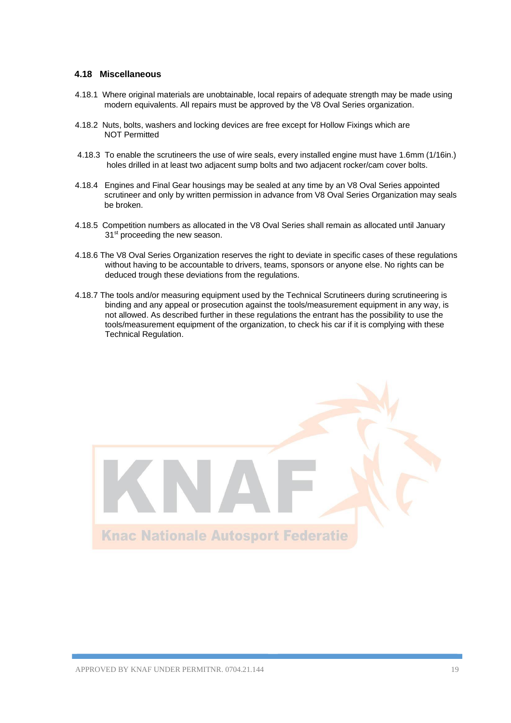#### **4.18 Miscellaneous**

- 4.18.1 Where original materials are unobtainable, local repairs of adequate strength may be made using modern equivalents. All repairs must be approved by the V8 Oval Series organization.
- 4.18.2 Nuts, bolts, washers and locking devices are free except for Hollow Fixings which are NOT Permitted
- 4.18.3 To enable the scrutineers the use of wire seals, every installed engine must have 1.6mm (1/16in.) holes drilled in at least two adjacent sump bolts and two adjacent rocker/cam cover bolts.
- 4.18.4 Engines and Final Gear housings may be sealed at any time by an V8 Oval Series appointed scrutineer and only by written permission in advance from V8 Oval Series Organization may seals be broken.
- 4.18.5 Competition numbers as allocated in the V8 Oval Series shall remain as allocated until January 31<sup>st</sup> proceeding the new season.
- 4.18.6 The V8 Oval Series Organization reserves the right to deviate in specific cases of these regulations without having to be accountable to drivers, teams, sponsors or anyone else. No rights can be deduced trough these deviations from the regulations.
- 4.18.7 The tools and/or measuring equipment used by the Technical Scrutineers during scrutineering is binding and any appeal or prosecution against the tools/measurement equipment in any way, is not allowed. As described further in these regulations the entrant has the possibility to use the tools/measurement equipment of the organization, to check his car if it is complying with these Technical Regulation.